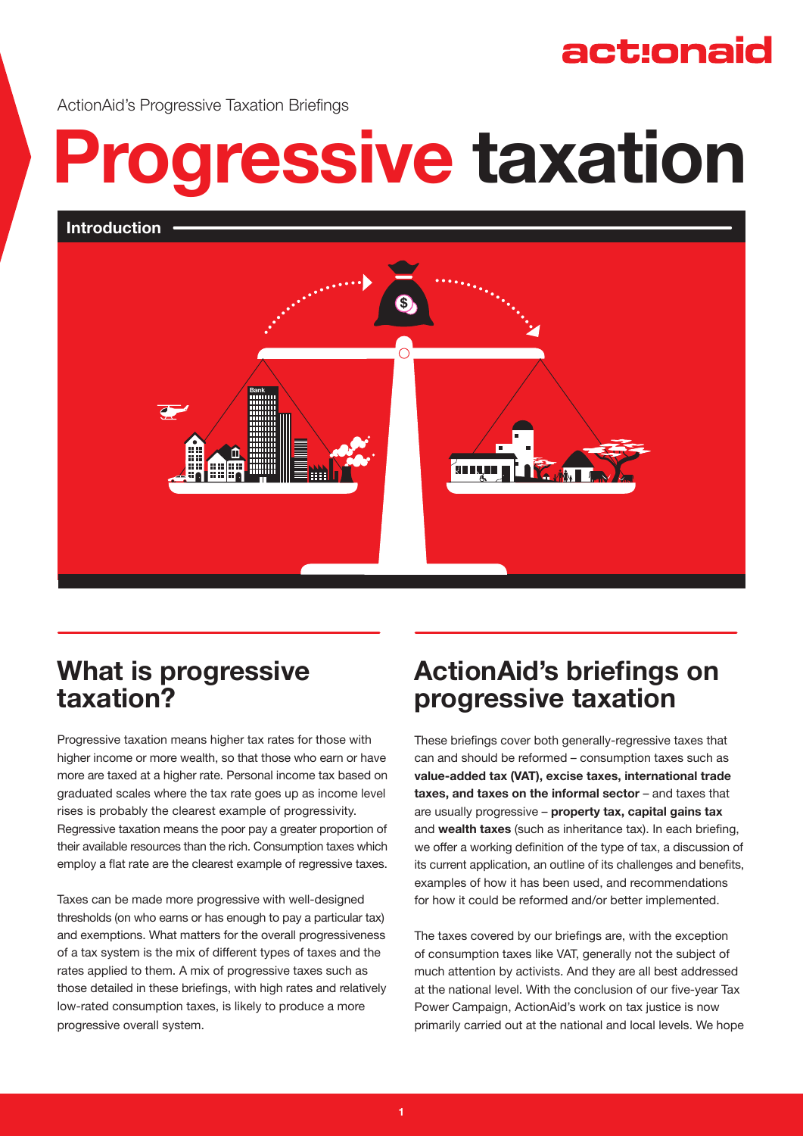## act:onaid

ActionAid's Progressive Taxation Briefings

# **Progressive taxation**





## **What is progressive taxation?**

Progressive taxation means higher tax rates for those with higher income or more wealth, so that those who earn or have more are taxed at a higher rate. Personal income tax based on graduated scales where the tax rate goes up as income level rises is probably the clearest example of progressivity. Regressive taxation means the poor pay a greater proportion of their available resources than the rich. Consumption taxes which employ a flat rate are the clearest example of regressive taxes.

Taxes can be made more progressive with well-designed thresholds (on who earns or has enough to pay a particular tax) and exemptions. What matters for the overall progressiveness of a tax system is the mix of different types of taxes and the rates applied to them. A mix of progressive taxes such as those detailed in these briefings, with high rates and relatively low-rated consumption taxes, is likely to produce a more progressive overall system.

## **ActionAid's briefings on progressive taxation**

These briefings cover both generally-regressive taxes that can and should be reformed – consumption taxes such as **value-added tax (VAT), excise taxes, international trade taxes, and taxes on the informal sector** – and taxes that are usually progressive – **property tax, capital gains tax** and **wealth taxes** (such as inheritance tax). In each briefing, we offer a working definition of the type of tax, a discussion of its current application, an outline of its challenges and benefits, examples of how it has been used, and recommendations for how it could be reformed and/or better implemented.

The taxes covered by our briefings are, with the exception of consumption taxes like VAT, generally not the subject of much attention by activists. And they are all best addressed at the national level. With the conclusion of our five-year Tax Power Campaign, ActionAid's work on tax justice is now primarily carried out at the national and local levels. We hope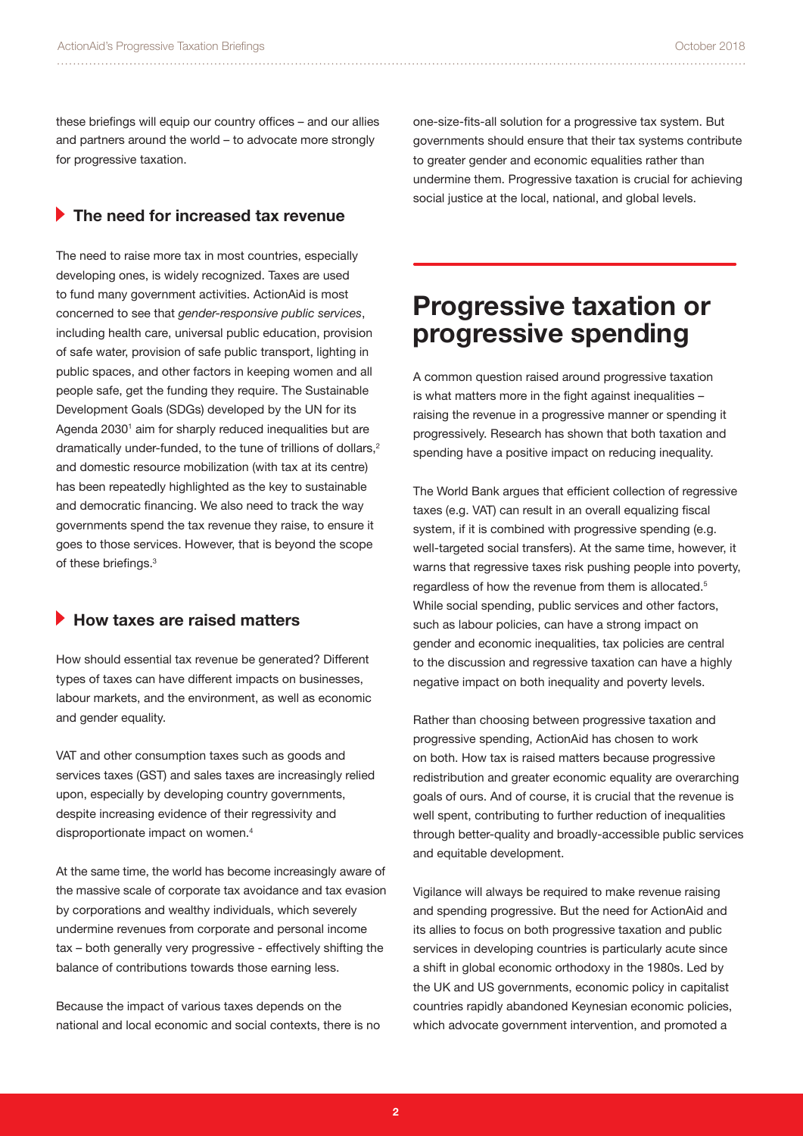these briefings will equip our country offices – and our allies and partners around the world – to advocate more strongly for progressive taxation.

#### **The need for increased tax revenue**

The need to raise more tax in most countries, especially developing ones, is widely recognized. Taxes are used to fund many government activities. ActionAid is most concerned to see that *gender-responsive public services*, including health care, universal public education, provision of safe water, provision of safe public transport, lighting in public spaces, and other factors in keeping women and all people safe, get the funding they require. The Sustainable Development Goals (SDGs) developed by the UN for its Agenda 2030<sup>1</sup> aim for sharply reduced inequalities but are dramatically under-funded, to the tune of trillions of dollars, $2$ and domestic resource mobilization (with tax at its centre) has been repeatedly highlighted as the key to sustainable and democratic financing. We also need to track the way governments spend the tax revenue they raise, to ensure it goes to those services. However, that is beyond the scope of these briefings.<sup>3</sup>

#### **How taxes are raised matters**

How should essential tax revenue be generated? Different types of taxes can have different impacts on businesses, labour markets, and the environment, as well as economic and gender equality.

VAT and other consumption taxes such as goods and services taxes (GST) and sales taxes are increasingly relied upon, especially by developing country governments, despite increasing evidence of their regressivity and disproportionate impact on women.4

At the same time, the world has become increasingly aware of the massive scale of corporate tax avoidance and tax evasion by corporations and wealthy individuals, which severely undermine revenues from corporate and personal income tax – both generally very progressive - effectively shifting the balance of contributions towards those earning less.

Because the impact of various taxes depends on the national and local economic and social contexts, there is no

one-size-fits-all solution for a progressive tax system. But governments should ensure that their tax systems contribute to greater gender and economic equalities rather than undermine them. Progressive taxation is crucial for achieving social justice at the local, national, and global levels.

## **Progressive taxation or progressive spending**

A common question raised around progressive taxation is what matters more in the fight against inequalities – raising the revenue in a progressive manner or spending it progressively. Research has shown that both taxation and spending have a positive impact on reducing inequality.

The World Bank argues that efficient collection of regressive taxes (e.g. VAT) can result in an overall equalizing fiscal system, if it is combined with progressive spending (e.g. well-targeted social transfers). At the same time, however, it warns that regressive taxes risk pushing people into poverty, regardless of how the revenue from them is allocated.<sup>5</sup> While social spending, public services and other factors, such as labour policies, can have a strong impact on gender and economic inequalities, tax policies are central to the discussion and regressive taxation can have a highly negative impact on both inequality and poverty levels.

Rather than choosing between progressive taxation and progressive spending, ActionAid has chosen to work on both. How tax is raised matters because progressive redistribution and greater economic equality are overarching goals of ours. And of course, it is crucial that the revenue is well spent, contributing to further reduction of inequalities through better-quality and broadly-accessible public services and equitable development.

Vigilance will always be required to make revenue raising and spending progressive. But the need for ActionAid and its allies to focus on both progressive taxation and public services in developing countries is particularly acute since a shift in global economic orthodoxy in the 1980s. Led by the UK and US governments, economic policy in capitalist countries rapidly abandoned Keynesian economic policies, which advocate government intervention, and promoted a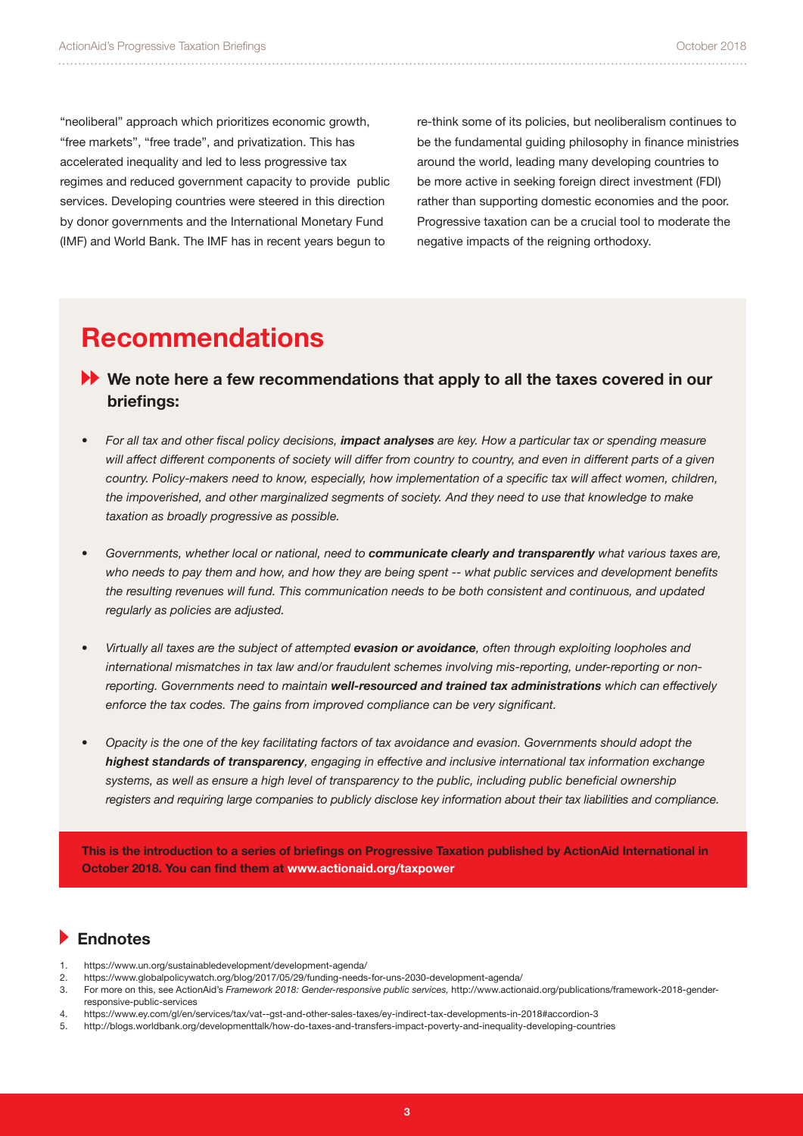"neoliberal" approach which prioritizes economic growth, "free markets", "free trade", and privatization. This has accelerated inequality and led to less progressive tax regimes and reduced government capacity to provide public services. Developing countries were steered in this direction by donor governments and the International Monetary Fund (IMF) and World Bank. The IMF has in recent years begun to

re-think some of its policies, but neoliberalism continues to be the fundamental guiding philosophy in finance ministries around the world, leading many developing countries to be more active in seeking foreign direct investment (FDI) rather than supporting domestic economies and the poor. Progressive taxation can be a crucial tool to moderate the negative impacts of the reigning orthodoxy.

## **Recommendations**

- **We note here a few recommendations that apply to all the taxes covered in our briefings:**
- *• For all tax and other fiscal policy decisions, impact analyses are key. How a particular tax or spending measure will affect different components of society will differ from country to country, and even in different parts of a given country. Policy-makers need to know, especially, how implementation of a specific tax will affect women, children, the impoverished, and other marginalized segments of society. And they need to use that knowledge to make taxation as broadly progressive as possible.*
- *• Governments, whether local or national, need to communicate clearly and transparently what various taxes are, who needs to pay them and how, and how they are being spent -- what public services and development benefits the resulting revenues will fund. This communication needs to be both consistent and continuous, and updated regularly as policies are adjusted.*
- *• Virtually all taxes are the subject of attempted evasion or avoidance, often through exploiting loopholes and international mismatches in tax law and/or fraudulent schemes involving mis-reporting, under-reporting or nonreporting. Governments need to maintain well-resourced and trained tax administrations which can effectively enforce the tax codes. The gains from improved compliance can be very significant.*
- *• Opacity is the one of the key facilitating factors of tax avoidance and evasion. Governments should adopt the highest standards of transparency, engaging in effective and inclusive international tax information exchange systems, as well as ensure a high level of transparency to the public, including public beneficial ownership registers and requiring large companies to publicly disclose key information about their tax liabilities and compliance.*

**This is the introduction to a series of briefings on Progressive Taxation published by ActionAid International in October 2018. You can find them at www.actionaid.org/taxpower**

#### **Endnotes**

- 1. https://www.un.org/sustainabledevelopment/development-agenda/
- 2. https://www.globalpolicywatch.org/blog/2017/05/29/funding-needs-for-uns-2030-development-agenda/
- 3. For more on this, see ActionAid's *Framework 2018: Gender-responsive public services,* http://www.actionaid.org/publications/framework-2018-genderresponsive-public-services
- 4. https://www.ey.com/gl/en/services/tax/vat--gst-and-other-sales-taxes/ey-indirect-tax-developments-in-2018#accordion-3
- 5. http://blogs.worldbank.org/developmenttalk/how-do-taxes-and-transfers-impact-poverty-and-inequality-developing-countries